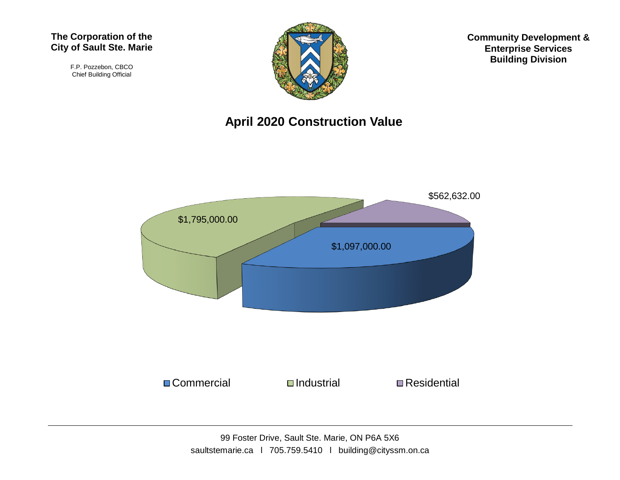#### **The Corporation of the City of Sault Ste. Marie**

F.P. Pozzebon, CBCO Chief Building Official



**Community Development & Enterprise Services Building Division**

### **April 2020 Construction Value**

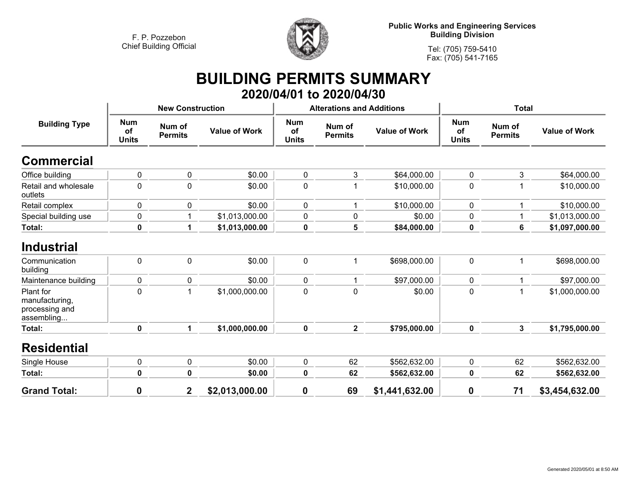

**Public Works and Engineering Services Building Division**

**Tel: (705) 759-5410Fax: (705) 541-7165**

## **BUILDING PERMITS SUMMARY 2020/04/01 to 2020/04/30**

| <b>Building Type</b>                                        |                                  | <b>New Construction</b>  |                      |                                  | <b>Alterations and Additions</b> |                      | <b>Total</b>                     |                          |                      |
|-------------------------------------------------------------|----------------------------------|--------------------------|----------------------|----------------------------------|----------------------------------|----------------------|----------------------------------|--------------------------|----------------------|
|                                                             | <b>Num</b><br>of<br><b>Units</b> | Num of<br><b>Permits</b> | <b>Value of Work</b> | <b>Num</b><br>of<br><b>Units</b> | Num of<br><b>Permits</b>         | <b>Value of Work</b> | <b>Num</b><br>of<br><b>Units</b> | Num of<br><b>Permits</b> | <b>Value of Work</b> |
| <b>Commercial</b>                                           |                                  |                          |                      |                                  |                                  |                      |                                  |                          |                      |
| Office building                                             | 0                                | $\pmb{0}$                | \$0.00               | $\boldsymbol{0}$                 | 3                                | \$64,000.00          | 0                                | 3                        | \$64,000.00          |
| Retail and wholesale<br>outlets                             | 0                                | 0                        | \$0.00               | $\mathbf 0$                      |                                  | \$10,000.00          | 0                                | 1                        | \$10,000.00          |
| Retail complex                                              | 0                                | 0                        | \$0.00               | $\mathbf 0$                      |                                  | \$10,000.00          | $\mathbf{0}$                     | 1                        | \$10,000.00          |
| Special building use                                        | 0                                |                          | \$1,013,000.00       | $\pmb{0}$                        | 0                                | \$0.00               | 0                                | 1                        | \$1,013,000.00       |
| Total:                                                      | $\pmb{0}$                        | 1                        | \$1,013,000.00       | $\boldsymbol{0}$                 | 5                                | \$84,000.00          | 0                                | 6                        | \$1,097,000.00       |
| Industrial<br>Communication<br>building                     | 0                                | $\mathbf 0$              | \$0.00               | $\boldsymbol{0}$                 |                                  | \$698,000.00         | 0                                | 1                        | \$698,000.00         |
| Maintenance building                                        | 0                                | $\mathbf 0$              | \$0.00               | $\boldsymbol{0}$                 |                                  | \$97,000.00          | 0                                | 1                        | \$97,000.00          |
| Plant for<br>manufacturing,<br>processing and<br>assembling | 0                                | 1                        | \$1,000,000.00       | $\pmb{0}$                        | $\mathbf 0$                      | \$0.00               | 0                                | 1                        | \$1,000,000.00       |
| Total:                                                      | $\mathbf 0$                      | $\mathbf{1}$             | \$1,000,000.00       | $\mathbf 0$                      | $\mathbf{2}$                     | \$795,000.00         | 0                                | 3                        | \$1,795,000.00       |
| <b>Residential</b>                                          |                                  |                          |                      |                                  |                                  |                      |                                  |                          |                      |
| Single House                                                | 0                                | 0                        | \$0.00               | 0                                | 62                               | \$562,632.00         | 0                                | 62                       | \$562,632.00         |
| Total:                                                      | 0                                | $\mathbf 0$              | \$0.00               | $\boldsymbol{0}$                 | 62                               | \$562,632.00         | 0                                | 62                       | \$562,632.00         |
| <b>Grand Total:</b>                                         | 0                                | $\mathbf 2$              | \$2,013,000.00       | $\boldsymbol{0}$                 | 69                               | \$1,441,632.00       | $\bf{0}$                         | 71                       | \$3,454,632.00       |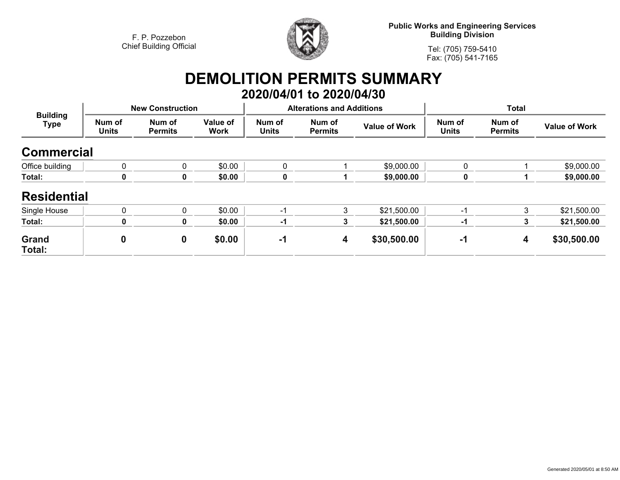

**Public Works and Engineering Services Building Division**

**Tel: (705) 759-5410Fax: (705) 541-7165**

# **DEMOLITION PERMITS SUMMARY 2020/04/01 to 2020/04/30**

| <b>Building</b><br>Type | <b>New Construction</b> |                          |                         |                        | <b>Alterations and Additions</b> |                      | <b>Total</b>           |                          |                      |
|-------------------------|-------------------------|--------------------------|-------------------------|------------------------|----------------------------------|----------------------|------------------------|--------------------------|----------------------|
|                         | Num of<br><b>Units</b>  | Num of<br><b>Permits</b> | Value of<br><b>Work</b> | Num of<br><b>Units</b> | Num of<br><b>Permits</b>         | <b>Value of Work</b> | Num of<br><b>Units</b> | Num of<br><b>Permits</b> | <b>Value of Work</b> |
| <b>Commercial</b>       |                         |                          |                         |                        |                                  |                      |                        |                          |                      |
| Office building         | 0                       | $\mathbf 0$              | \$0.00                  | $\mathbf{0}$           |                                  | \$9,000.00           | 0                      |                          | \$9,000.00           |
| Total:                  | 0                       | 0                        | \$0.00                  | 0                      |                                  | \$9,000.00           | 0                      |                          | \$9,000.00           |
| <b>Residential</b>      |                         |                          |                         |                        |                                  |                      |                        |                          |                      |
| Single House            | $\mathbf 0$             | $\Omega$                 | \$0.00                  | -1                     | 3                                | \$21,500.00          | $\mathcal{L}$          | 3                        | \$21,500.00          |
| Total:                  | 0                       | 0                        | \$0.00                  | $-1$                   | 3                                | \$21,500.00          | -1                     | 3                        | \$21,500.00          |
| Grand<br>Total:         | 0                       | $\mathbf 0$              | \$0.00                  | $-1$                   | 4                                | \$30,500.00          | -1                     | 4                        | \$30,500.00          |